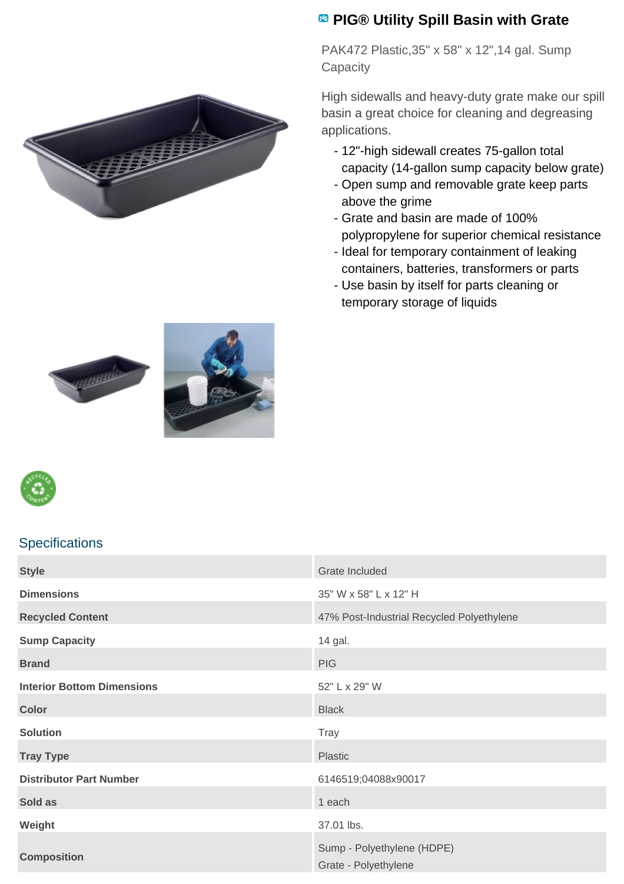

## **PIG® Utility Spill Basin with Grate**

PAK472 Plastic,35" x 58" x 12",14 gal. Sump **Capacity** 

High sidewalls and heavy-duty grate make our spill basin a great choice for cleaning and degreasing applications.

- 12"-high sidewall creates 75-gallon total capacity (14-gallon sump capacity below grate)
- Open sump and removable grate keep parts above the grime
- Grate and basin are made of 100% polypropylene for superior chemical resistance
- Ideal for temporary containment of leaking containers, batteries, transformers or parts
- Use basin by itself for parts cleaning or temporary storage of liquids







## **Specifications**

| <b>Style</b>                      | Grate Included                                     |
|-----------------------------------|----------------------------------------------------|
| <b>Dimensions</b>                 | 35" W x 58" L x 12" H                              |
| <b>Recycled Content</b>           | 47% Post-Industrial Recycled Polyethylene          |
| <b>Sump Capacity</b>              | 14 gal.                                            |
| <b>Brand</b>                      | <b>PIG</b>                                         |
| <b>Interior Bottom Dimensions</b> | 52" L x 29" W                                      |
| <b>Color</b>                      | <b>Black</b>                                       |
| <b>Solution</b>                   | <b>Tray</b>                                        |
| <b>Tray Type</b>                  | Plastic                                            |
| <b>Distributor Part Number</b>    | 6146519;04088x90017                                |
| Sold as                           | 1 each                                             |
| Weight                            | 37.01 lbs.                                         |
| <b>Composition</b>                | Sump - Polyethylene (HDPE)<br>Grate - Polyethylene |